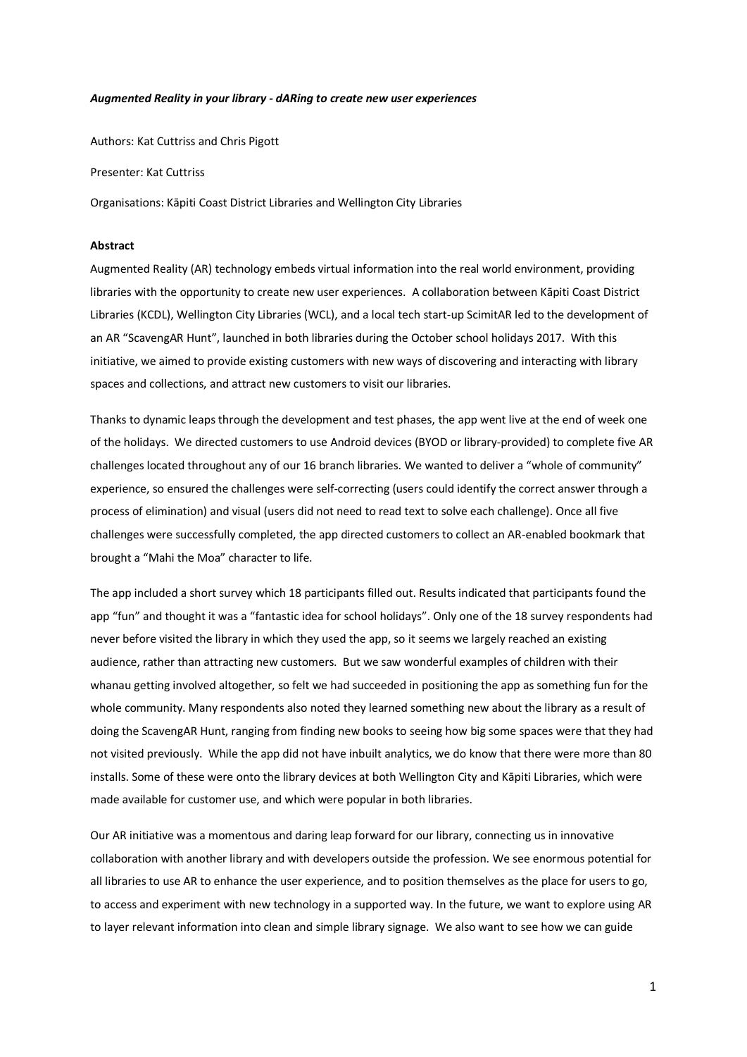#### *Augmented Reality in your library - dARing to create new user experiences*

Authors: Kat Cuttriss and Chris Pigott

Presenter: Kat Cuttriss

Organisations: Kāpiti Coast District Libraries and Wellington City Libraries

### **Abstract**

Augmented Reality (AR) technology embeds virtual information into the real world environment, providing libraries with the opportunity to create new user experiences. A collaboration between Kāpiti Coast District Libraries (KCDL), Wellington City Libraries (WCL), and a local tech start-up ScimitAR led to the development of an AR "ScavengAR Hunt", launched in both libraries during the October school holidays 2017. With this initiative, we aimed to provide existing customers with new ways of discovering and interacting with library spaces and collections, and attract new customers to visit our libraries.

Thanks to dynamic leaps through the development and test phases, the app went live at the end of week one of the holidays. We directed customers to use Android devices (BYOD or library-provided) to complete five AR challenges located throughout any of our 16 branch libraries. We wanted to deliver a "whole of community" experience, so ensured the challenges were self-correcting (users could identify the correct answer through a process of elimination) and visual (users did not need to read text to solve each challenge). Once all five challenges were successfully completed, the app directed customers to collect an AR-enabled bookmark that brought a "Mahi the Moa" character to life.

The app included a short survey which 18 participants filled out. Results indicated that participants found the app "fun" and thought it was a "fantastic idea for school holidays". Only one of the 18 survey respondents had never before visited the library in which they used the app, so it seems we largely reached an existing audience, rather than attracting new customers. But we saw wonderful examples of children with their whanau getting involved altogether, so felt we had succeeded in positioning the app as something fun for the whole community. Many respondents also noted they learned something new about the library as a result of doing the ScavengAR Hunt, ranging from finding new books to seeing how big some spaces were that they had not visited previously. While the app did not have inbuilt analytics, we do know that there were more than 80 installs. Some of these were onto the library devices at both Wellington City and Kāpiti Libraries, which were made available for customer use, and which were popular in both libraries.

Our AR initiative was a momentous and daring leap forward for our library, connecting us in innovative collaboration with another library and with developers outside the profession. We see enormous potential for all libraries to use AR to enhance the user experience, and to position themselves as the place for users to go, to access and experiment with new technology in a supported way. In the future, we want to explore using AR to layer relevant information into clean and simple library signage. We also want to see how we can guide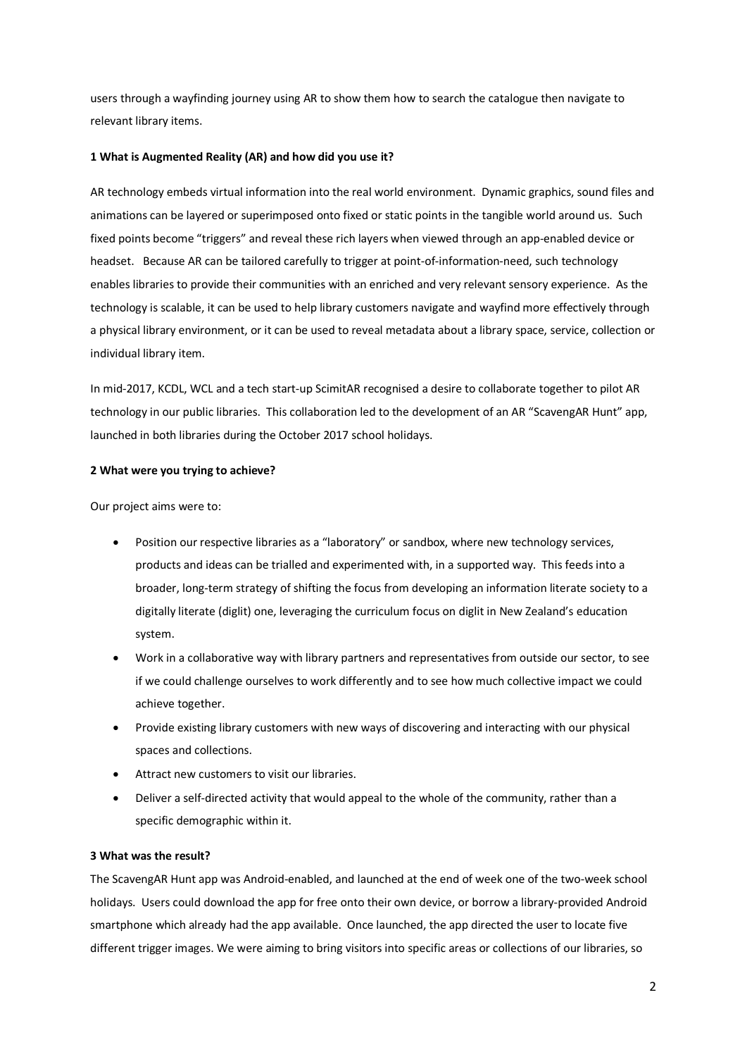users through a wayfinding journey using AR to show them how to search the catalogue then navigate to relevant library items.

# **1 What is Augmented Reality (AR) and how did you use it?**

AR technology embeds virtual information into the real world environment. Dynamic graphics, sound files and animations can be layered or superimposed onto fixed or static points in the tangible world around us. Such fixed points become "triggers" and reveal these rich layers when viewed through an app-enabled device or headset. Because AR can be tailored carefully to trigger at point-of-information-need, such technology enables libraries to provide their communities with an enriched and very relevant sensory experience. As the technology is scalable, it can be used to help library customers navigate and wayfind more effectively through a physical library environment, or it can be used to reveal metadata about a library space, service, collection or individual library item.

In mid-2017, KCDL, WCL and a tech start-up ScimitAR recognised a desire to collaborate together to pilot AR technology in our public libraries. This collaboration led to the development of an AR "ScavengAR Hunt" app, launched in both libraries during the October 2017 school holidays.

## **2 What were you trying to achieve?**

Our project aims were to:

- Position our respective libraries as a "laboratory" or sandbox, where new technology services, products and ideas can be trialled and experimented with, in a supported way. This feeds into a broader, long-term strategy of shifting the focus from developing an information literate society to a digitally literate (diglit) one, leveraging the curriculum focus on diglit in New Zealand's education system.
- Work in a collaborative way with library partners and representatives from outside our sector, to see if we could challenge ourselves to work differently and to see how much collective impact we could achieve together.
- Provide existing library customers with new ways of discovering and interacting with our physical spaces and collections.
- Attract new customers to visit our libraries.
- Deliver a self-directed activity that would appeal to the whole of the community, rather than a specific demographic within it.

## **3 What was the result?**

The ScavengAR Hunt app was Android-enabled, and launched at the end of week one of the two-week school holidays. Users could download the app for free onto their own device, or borrow a library-provided Android smartphone which already had the app available. Once launched, the app directed the user to locate five different trigger images. We were aiming to bring visitors into specific areas or collections of our libraries, so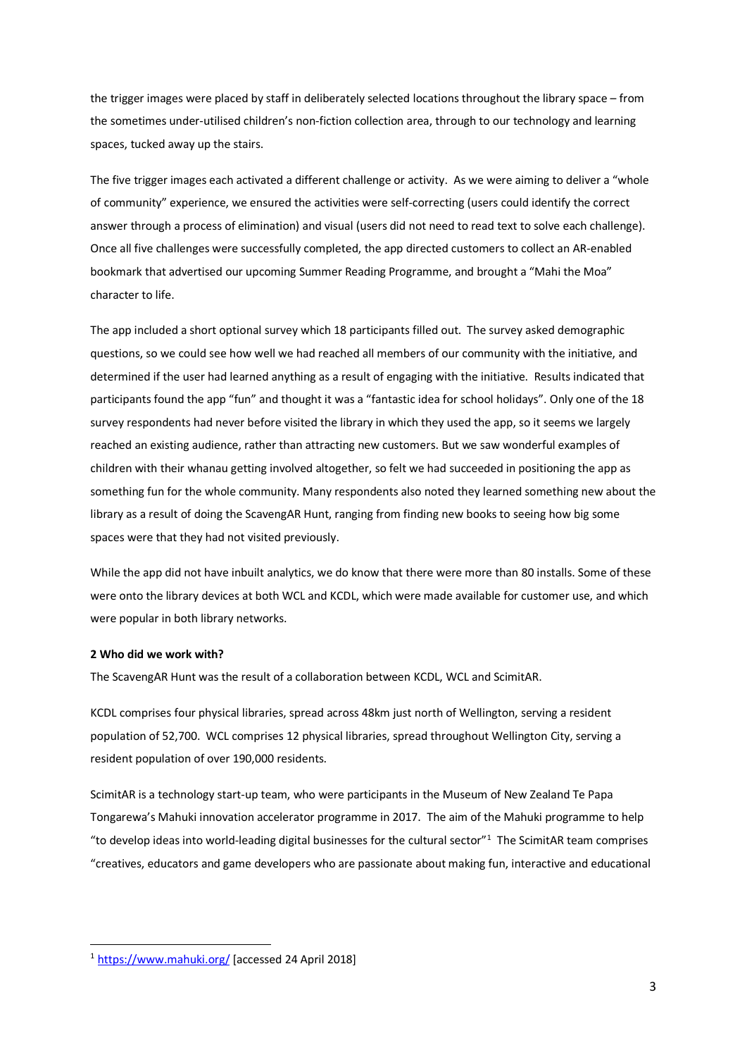the trigger images were placed by staff in deliberately selected locations throughout the library space – from the sometimes under-utilised children's non-fiction collection area, through to our technology and learning spaces, tucked away up the stairs.

The five trigger images each activated a different challenge or activity. As we were aiming to deliver a "whole of community" experience, we ensured the activities were self-correcting (users could identify the correct answer through a process of elimination) and visual (users did not need to read text to solve each challenge). Once all five challenges were successfully completed, the app directed customers to collect an AR-enabled bookmark that advertised our upcoming Summer Reading Programme, and brought a "Mahi the Moa" character to life.

The app included a short optional survey which 18 participants filled out. The survey asked demographic questions, so we could see how well we had reached all members of our community with the initiative, and determined if the user had learned anything as a result of engaging with the initiative. Results indicated that participants found the app "fun" and thought it was a "fantastic idea for school holidays". Only one of the 18 survey respondents had never before visited the library in which they used the app, so it seems we largely reached an existing audience, rather than attracting new customers. But we saw wonderful examples of children with their whanau getting involved altogether, so felt we had succeeded in positioning the app as something fun for the whole community. Many respondents also noted they learned something new about the library as a result of doing the ScavengAR Hunt, ranging from finding new books to seeing how big some spaces were that they had not visited previously.

While the app did not have inbuilt analytics, we do know that there were more than 80 installs. Some of these were onto the library devices at both WCL and KCDL, which were made available for customer use, and which were popular in both library networks.

## **2 Who did we work with?**

The ScavengAR Hunt was the result of a collaboration between KCDL, WCL and ScimitAR.

KCDL comprises four physical libraries, spread across 48km just north of Wellington, serving a resident population of 52,700. WCL comprises 12 physical libraries, spread throughout Wellington City, serving a resident population of over 190,000 residents.

ScimitAR is a technology start-up team, who were participants in the Museum of New Zealand Te Papa Tongarewa's Mahuki innovation accelerator programme in 2017. The aim of the Mahuki programme to help "to develop ideas into world-leading digital businesses for the cultural sector" $1$  The ScimitAR team comprises "creatives, educators and game developers who are passionate about making fun, interactive and educational

<span id="page-2-0"></span><sup>1</sup> <https://www.mahuki.org/> [accessed 24 April 2018]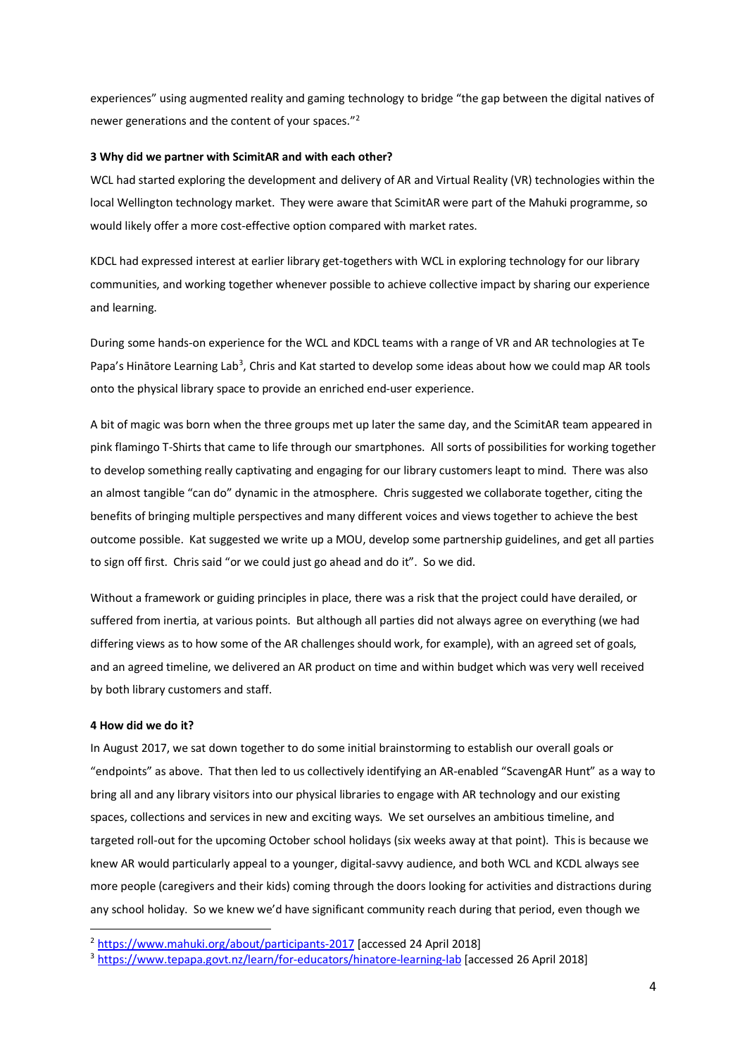experiences" using augmented reality and gaming technology to bridge "the gap between the digital natives of newer generations and the content of your spaces."[2](#page-3-0)

#### **3 Why did we partner with ScimitAR and with each other?**

WCL had started exploring the development and delivery of AR and Virtual Reality (VR) technologies within the local Wellington technology market. They were aware that ScimitAR were part of the Mahuki programme, so would likely offer a more cost-effective option compared with market rates.

KDCL had expressed interest at earlier library get-togethers with WCL in exploring technology for our library communities, and working together whenever possible to achieve collective impact by sharing our experience and learning.

During some hands-on experience for the WCL and KDCL teams with a range of VR and AR technologies at Te Papa's Hinātore Learning Lab<sup>[3](#page-3-1)</sup>, Chris and Kat started to develop some ideas about how we could map AR tools onto the physical library space to provide an enriched end-user experience.

A bit of magic was born when the three groups met up later the same day, and the ScimitAR team appeared in pink flamingo T-Shirts that came to life through our smartphones. All sorts of possibilities for working together to develop something really captivating and engaging for our library customers leapt to mind. There was also an almost tangible "can do" dynamic in the atmosphere. Chris suggested we collaborate together, citing the benefits of bringing multiple perspectives and many different voices and views together to achieve the best outcome possible. Kat suggested we write up a MOU, develop some partnership guidelines, and get all parties to sign off first. Chris said "or we could just go ahead and do it". So we did.

Without a framework or guiding principles in place, there was a risk that the project could have derailed, or suffered from inertia, at various points. But although all parties did not always agree on everything (we had differing views as to how some of the AR challenges should work, for example), with an agreed set of goals, and an agreed timeline, we delivered an AR product on time and within budget which was very well received by both library customers and staff.

### **4 How did we do it?**

In August 2017, we sat down together to do some initial brainstorming to establish our overall goals or "endpoints" as above. That then led to us collectively identifying an AR-enabled "ScavengAR Hunt" as a way to bring all and any library visitors into our physical libraries to engage with AR technology and our existing spaces, collections and services in new and exciting ways. We set ourselves an ambitious timeline, and targeted roll-out for the upcoming October school holidays (six weeks away at that point). This is because we knew AR would particularly appeal to a younger, digital-savvy audience, and both WCL and KCDL always see more people (caregivers and their kids) coming through the doors looking for activities and distractions during any school holiday. So we knew we'd have significant community reach during that period, even though we

<span id="page-3-0"></span><sup>2</sup> [https://www.mahuki.org/about/participants](https://www.mahuki.org/about/participants-2017)-2017 [accessed 24 April 2018]

<span id="page-3-1"></span><sup>3</sup> [https://www.tepapa.govt.nz/learn/for](https://www.tepapa.govt.nz/learn/for-educators/hinatore-learning-lab)-educators/hinatore-learning-lab [accessed 26 April 2018]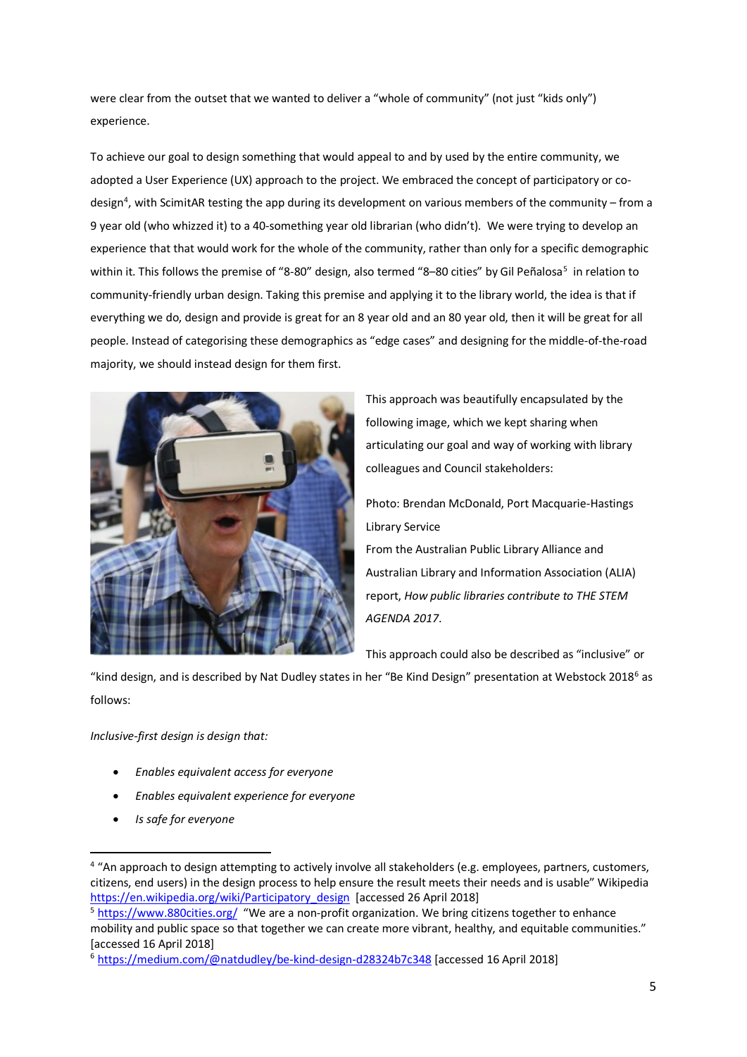were clear from the outset that we wanted to deliver a "whole of community" (not just "kids only") experience.

To achieve our goal to design something that would appeal to and by used by the entire community, we adopted a User Experience (UX) approach to the project. We embraced the concept of participatory or co-design<sup>[4](#page-4-0)</sup>, with ScimitAR testing the app during its development on various members of the community – from a 9 year old (who whizzed it) to a 40-something year old librarian (who didn't). We were trying to develop an experience that that would work for the whole of the community, rather than only for a specific demographic within it. This follows the premise of "8-80" design, also termed "8–[80 cities"](https://www.880cities.org/) by Gil Peñalosa<sup>[5](#page-4-1)</sup> in relation to community-friendly urban design. Taking this premise and applying it to the library world, the idea is that if everything we do, design and provide is great for an 8 year old and an 80 year old, then it will be great for all people. Instead of categorising these demographics as "edge cases" and designing for the middle-of-the-road majority, we should instead design for them first.



This approach was beautifully encapsulated by the following image, which we kept sharing when articulating our goal and way of working with library colleagues and Council stakeholders:

Photo: Brendan McDonald, Port Macquarie-Hastings Library Service

From the Australian Public Library Alliance and Australian Library and Information Association (ALIA) report, *How public libraries contribute to THE STEM AGENDA 2017*.

This approach could also be described as "inclusive" or

"kind design, and is described by Nat Dudley states in her "Be Kind Design" presentation at Webstock 2018<sup>[6](#page-4-2)</sup> as follows:

*Inclusive-first design is design that:*

- *Enables equivalent access for everyone*
- *Enables equivalent experience for everyone*
- *Is safe for everyone*

<span id="page-4-0"></span><sup>&</sup>lt;sup>4</sup> "An approach to design attempting to actively involve all stakeholders (e.g. employees, partners, customers, citizens, end users) in the design process to help ensure the result meets their needs and is usable" Wikipedia [https://en.wikipedia.org/wiki/Participatory\\_design](https://en.wikipedia.org/wiki/Participatory_design) [accessed 26 April 2018]

<span id="page-4-1"></span><sup>5</sup> <https://www.880cities.org/> "We are a non-profit organization. We bring citizens together to enhance mobility and public space so that together we can create more vibrant, healthy, and equitable communities." [accessed 16 April 2018]

<span id="page-4-2"></span><sup>6</sup> [https://medium.com/@natdudley/be](https://medium.com/@natdudley/be-kind-design-d28324b7c348)-kind-design-d28324b7c348 [accessed 16 April 2018]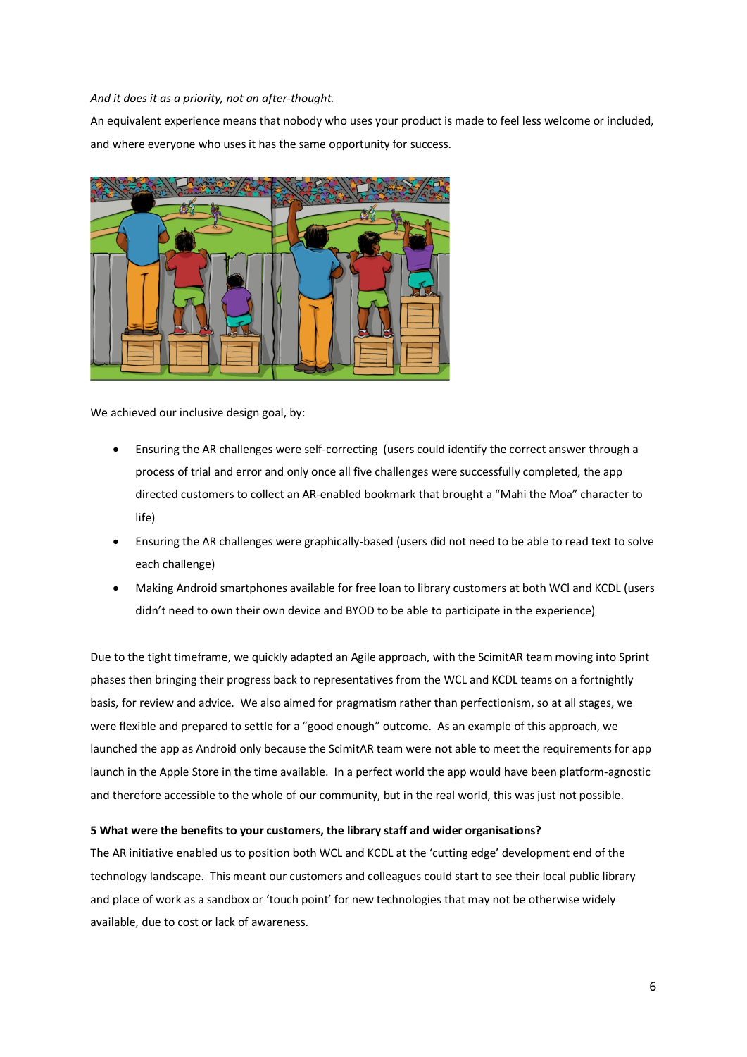#### *And it does it as a priority, not an after-thought.*

An equivalent experience means that nobody who uses your product is made to feel less welcome or included, and where everyone who uses it has the same opportunity for success.



We achieved our inclusive design goal, by:

- Ensuring the AR challenges were self-correcting (users could identify the correct answer through a process of trial and error and only once all five challenges were successfully completed, the app directed customers to collect an AR-enabled bookmark that brought a "Mahi the Moa" character to life)
- Ensuring the AR challenges were graphically-based (users did not need to be able to read text to solve each challenge)
- Making Android smartphones available for free loan to library customers at both WCl and KCDL (users didn't need to own their own device and BYOD to be able to participate in the experience)

Due to the tight timeframe, we quickly adapted an Agile approach, with the ScimitAR team moving into Sprint phases then bringing their progress back to representatives from the WCL and KCDL teams on a fortnightly basis, for review and advice. We also aimed for pragmatism rather than perfectionism, so at all stages, we were flexible and prepared to settle for a "good enough" outcome. As an example of this approach, we launched the app as Android only because the ScimitAR team were not able to meet the requirements for app launch in the Apple Store in the time available. In a perfect world the app would have been platform-agnostic and therefore accessible to the whole of our community, but in the real world, this was just not possible.

# **5 What were the benefits to your customers, the library staff and wider organisations?**

The AR initiative enabled us to position both WCL and KCDL at the 'cutting edge' development end of the technology landscape. This meant our customers and colleagues could start to see their local public library and place of work as a sandbox or 'touch point' for new technologies that may not be otherwise widely available, due to cost or lack of awareness.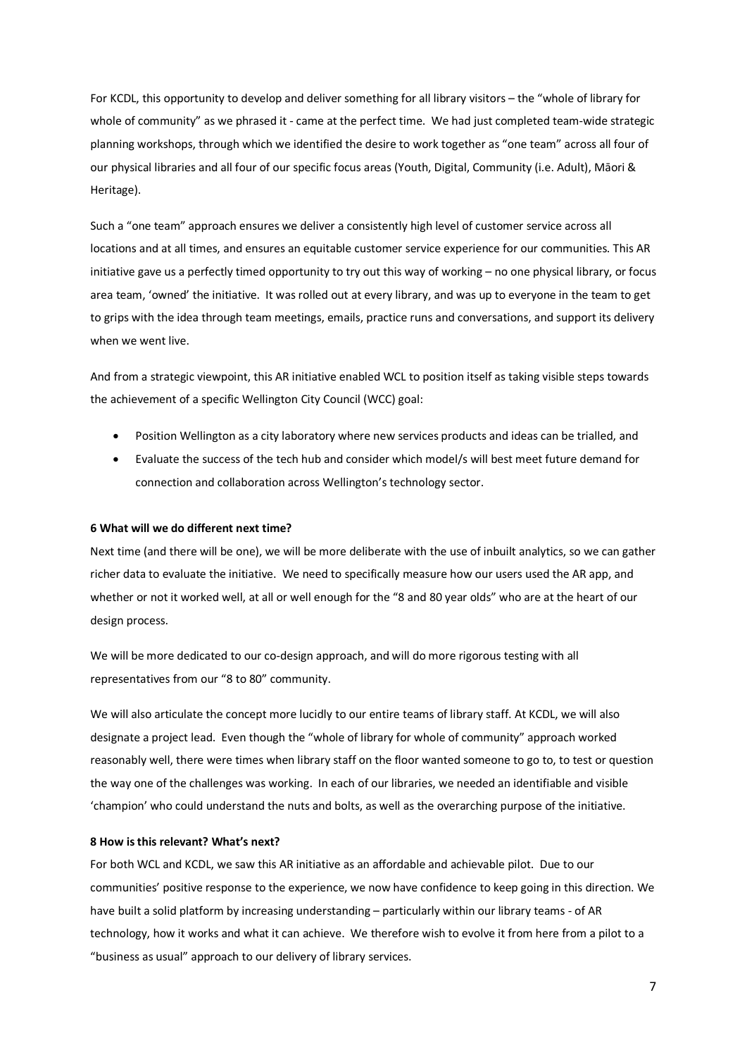For KCDL, this opportunity to develop and deliver something for all library visitors – the "whole of library for whole of community" as we phrased it - came at the perfect time. We had just completed team-wide strategic planning workshops, through which we identified the desire to work together as "one team" across all four of our physical libraries and all four of our specific focus areas (Youth, Digital, Community (i.e. Adult), Māori & Heritage).

Such a "one team" approach ensures we deliver a consistently high level of customer service across all locations and at all times, and ensures an equitable customer service experience for our communities. This AR initiative gave us a perfectly timed opportunity to try out this way of working – no one physical library, or focus area team, 'owned' the initiative. It was rolled out at every library, and was up to everyone in the team to get to grips with the idea through team meetings, emails, practice runs and conversations, and support its delivery when we went live.

And from a strategic viewpoint, this AR initiative enabled WCL to position itself as taking visible steps towards the achievement of a specific Wellington City Council (WCC) goal:

- Position Wellington as a city laboratory where new services products and ideas can be trialled, and
- Evaluate the success of the tech hub and consider which model/s will best meet future demand for connection and collaboration across Wellington's technology sector.

# **6 What will we do different next time?**

Next time (and there will be one), we will be more deliberate with the use of inbuilt analytics, so we can gather richer data to evaluate the initiative. We need to specifically measure how our users used the AR app, and whether or not it worked well, at all or well enough for the "8 and 80 year olds" who are at the heart of our design process.

We will be more dedicated to our co-design approach, and will do more rigorous testing with all representatives from our "8 to 80" community.

We will also articulate the concept more lucidly to our entire teams of library staff. At KCDL, we will also designate a project lead. Even though the "whole of library for whole of community" approach worked reasonably well, there were times when library staff on the floor wanted someone to go to, to test or question the way one of the challenges was working. In each of our libraries, we needed an identifiable and visible 'champion' who could understand the nuts and bolts, as well as the overarching purpose of the initiative.

#### **8 How is this relevant? What's next?**

For both WCL and KCDL, we saw this AR initiative as an affordable and achievable pilot. Due to our communities' positive response to the experience, we now have confidence to keep going in this direction. We have built a solid platform by increasing understanding – particularly within our library teams - of AR technology, how it works and what it can achieve. We therefore wish to evolve it from here from a pilot to a "business as usual" approach to our delivery of library services.